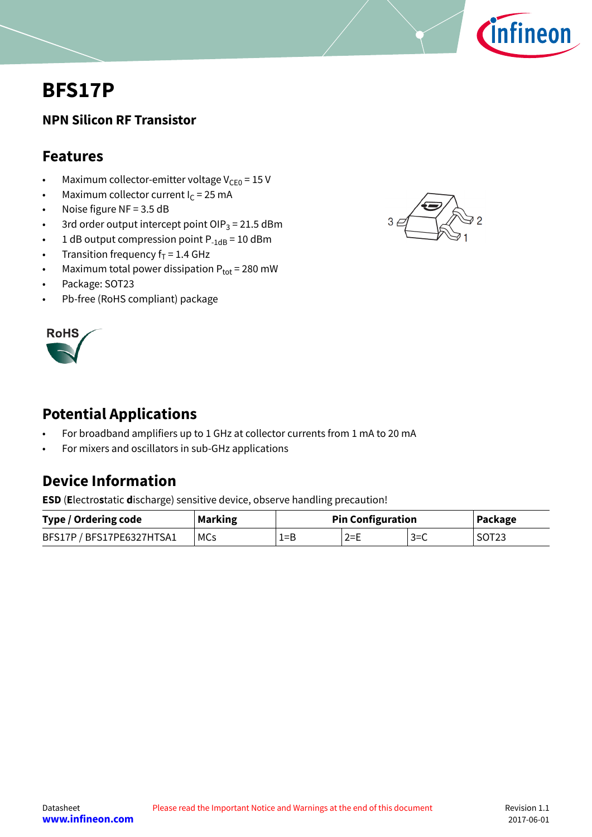

# <span id="page-0-0"></span>**BFS17P**

### **NPN Silicon RF Transistor**

## **Features**

- Maximum collector-emitter voltage  $V_{CE0} = 15 V$
- Maximum collector current  $I_c = 25$  mA
- Noise figure NF = 3.5 dB
- 3rd order output intercept point OIP $_3$  = 21.5 dBm
- 1 dB output compression point  $P_{-1dB} = 10$  dBm
- Transition frequency  $f_T = 1.4$  GHz
- Maximum total power dissipation  $P_{tot}$  = 280 mW
- Package: SOT23
- Pb-free (RoHS compliant) package



# **Potential Applications**

- For broadband amplifiers up to 1 GHz at collector currents from 1 mA to 20 mA
- For mixers and oscillators in sub-GHz applications

# **Device Information**

**ESD** (**E**lectro**s**tatic **d**ischarge) sensitive device, observe handling precaution!

| Type / Ordering code      | <b>Marking</b> | <b>Pin Configuration</b> |         |        | Package           |
|---------------------------|----------------|--------------------------|---------|--------|-------------------|
| BFS17P / BFS17PE6327HTSA1 | MCs            | 1=B                      | $2 = E$ | $3=$ C | SOT <sub>23</sub> |

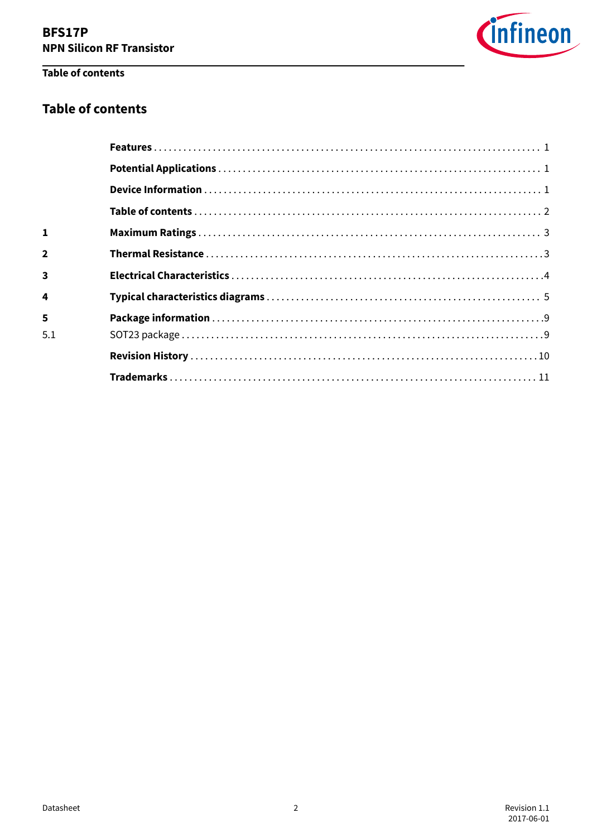

### Table of contents

### **Table of contents**

| 1                       |  |
|-------------------------|--|
| $\mathbf 2$             |  |
| $\overline{\mathbf{3}}$ |  |
| 4                       |  |
| 5                       |  |
| 5.1                     |  |
|                         |  |
|                         |  |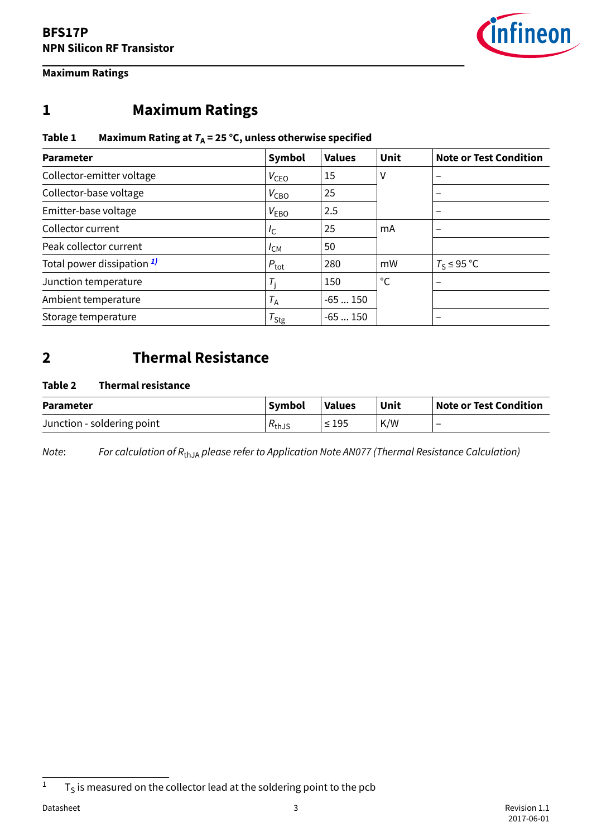

#### <span id="page-2-0"></span>**Maximum Ratings**

# **1 Maximum Ratings**

#### **Table 1 Maximum Rating at TA = 25 °C, unless otherwise specified**

| <b>Parameter</b>                      | Symbol           | <b>Values</b> | <b>Unit</b>  | <b>Note or Test Condition</b> |
|---------------------------------------|------------------|---------------|--------------|-------------------------------|
| Collector-emitter voltage             | V <sub>ceo</sub> | 15            | ٧            |                               |
| Collector-base voltage                | $V_{\text{CBO}}$ | 25            |              |                               |
| Emitter-base voltage                  | V <sub>EBO</sub> | 2.5           |              |                               |
| Collector current                     | I <sub>C</sub>   | 25            | mA           | $\overline{\phantom{0}}$      |
| Peak collector current                | $I_{CM}$         | 50            |              |                               |
| Total power dissipation <sup>1)</sup> | $P_{\text{tot}}$ | 280           | mW           | $T_S \leq 95$ °C              |
| Junction temperature                  | $T_i$            | 150           | $^{\circ}$ C |                               |
| Ambient temperature                   | $T_A$            | $-65150$      |              |                               |
| Storage temperature                   | $T_{\text{Stg}}$ | $-65150$      |              | $\overline{\phantom{0}}$      |

## **2 Thermal Resistance**

#### **Table 2 Thermal resistance**

| <b>Parameter</b>           | <b>Symbol</b>          | <b>Values</b> | Unit | Note or Test Condition |
|----------------------------|------------------------|---------------|------|------------------------|
| Junction - soldering point | $\kappa_{\text{thJS}}$ | $\leq$ 195    | K/W  |                        |

Note: For calculation of  $R_{thJA}$  please refer to Application Note AN077 (Thermal Resistance Calculation)

 $1 - T_S$  is measured on the collector lead at the soldering point to the pcb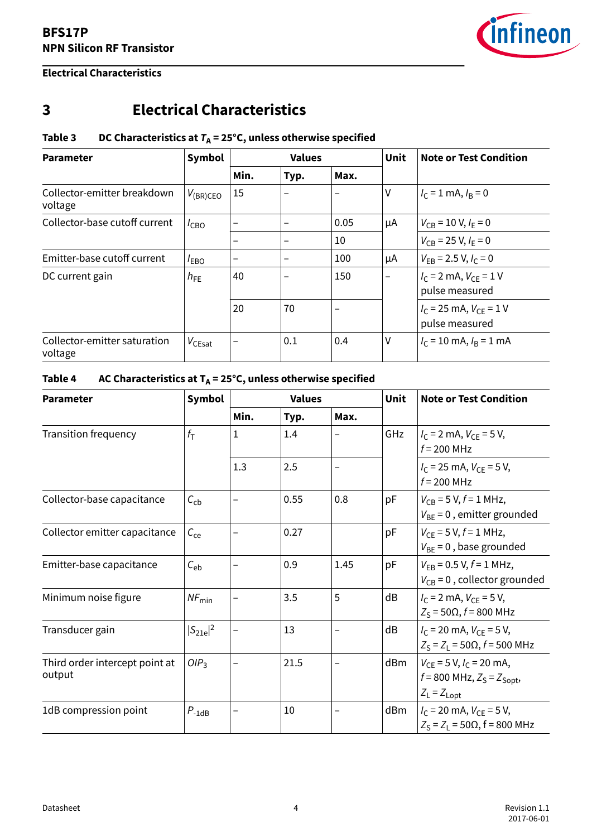

#### <span id="page-3-0"></span>**Electrical Characteristics**

# **3 Electrical Characteristics**

#### **Table 3** DC Characteristics at  $T_A = 25^\circ$ C, unless otherwise specified

| <b>Parameter</b>                        | Symbol             | <b>Values</b>            |      |      | <b>Unit</b> | <b>Note or Test Condition</b>                    |
|-----------------------------------------|--------------------|--------------------------|------|------|-------------|--------------------------------------------------|
|                                         |                    | Min.                     | Typ. | Max. |             |                                                  |
| Collector-emitter breakdown<br>voltage  | $V_{\rm (BR)CEO}$  | 15                       |      |      | V           | $I_C = 1$ mA, $I_B = 0$                          |
| Collector-base cutoff current           | $I_{CBO}$          | $\overline{\phantom{0}}$ |      | 0.05 | μA          | $V_{CB}$ = 10 V, $I_F$ = 0                       |
|                                         |                    | $\overline{\phantom{0}}$ |      | 10   |             | $V_{CB}$ = 25 V, $I_F$ = 0                       |
| Emitter-base cutoff current             | <sup>/</sup> EBO   | $\overline{\phantom{0}}$ |      | 100  | μA          | $V_{FB}$ = 2.5 V, $I_c$ = 0                      |
| DC current gain                         | $h_{FE}$           | 40                       |      | 150  |             | $I_{C}$ = 2 mA, $V_{CF}$ = 1 V<br>pulse measured |
|                                         |                    | 20                       | 70   | -    |             | $I_C$ = 25 mA, $V_{CF}$ = 1 V<br>pulse measured  |
| Collector-emitter saturation<br>voltage | $V_{\text{CEsat}}$ | -                        | 0.1  | 0.4  | ٧           | $I_C = 10$ mA, $I_R = 1$ mA                      |

### **Table 4 AC Characteristics at TA = 25°C, unless otherwise specified**

| <b>Parameter</b>                         | Symbol            | <b>Values</b>            |      |      | <b>Unit</b> | <b>Note or Test Condition</b>                                                           |
|------------------------------------------|-------------------|--------------------------|------|------|-------------|-----------------------------------------------------------------------------------------|
|                                          |                   | Min.                     | Typ. | Max. |             |                                                                                         |
| <b>Transition frequency</b>              | $f_{\text{T}}$    | 1                        | 1.4  |      | GHz         | $I_c = 2$ mA, $V_{CF} = 5$ V,<br>$f = 200$ MHz                                          |
|                                          |                   | 1.3                      | 2.5  | -    |             | $I_C$ = 25 mA, $V_{CE}$ = 5 V,<br>$f = 200$ MHz                                         |
| Collector-base capacitance               | $C_{\rm cb}$      | -                        | 0.55 | 0.8  | pF          | $V_{CB} = 5 V, f = 1 MHz,$<br>$V_{BE}$ = 0, emitter grounded                            |
| Collector emitter capacitance            | $C_{ce}$          | $\overline{\phantom{0}}$ | 0.27 |      | pF          | $V_{CF}$ = 5 V, $f$ = 1 MHz,<br>$V_{BF}$ = 0, base grounded                             |
| Emitter-base capacitance                 | $C_{\rm eb}$      | —                        | 0.9  | 1.45 | pF          | $V_{FB}$ = 0.5 V, $f = 1$ MHz,<br>$V_{CB}$ = 0, collector grounded                      |
| Minimum noise figure                     | $NF_{\text{min}}$ |                          | 3.5  | 5    | dB          | $I_C$ = 2 mA, $V_{CF}$ = 5 V,<br>$Z_S$ = 50Ω, $f$ = 800 MHz                             |
| Transducer gain                          | $ S_{21e} ^2$     | $\qquad \qquad -$        | 13   | —    | dB          | $I_c$ = 20 mA, $V_{CF}$ = 5 V,<br>$Z_S = Z_L = 50\Omega$ , $f = 500$ MHz                |
| Third order intercept point at<br>output | OIP <sub>3</sub>  |                          | 21.5 |      | dBm         | $V_{CF}$ = 5 V, $I_C$ = 20 mA,<br>$f = 800$ MHz, $Z_S = Z_{Sopt}$ ,<br>$Z_L = Z_{Lopt}$ |
| 1dB compression point                    | $P_{-1dB}$        | -                        | 10   |      | dBm         | $I_C$ = 20 mA, $V_{CE}$ = 5 V,<br>$Z_S = Z_1 = 50\Omega$ , f = 800 MHz                  |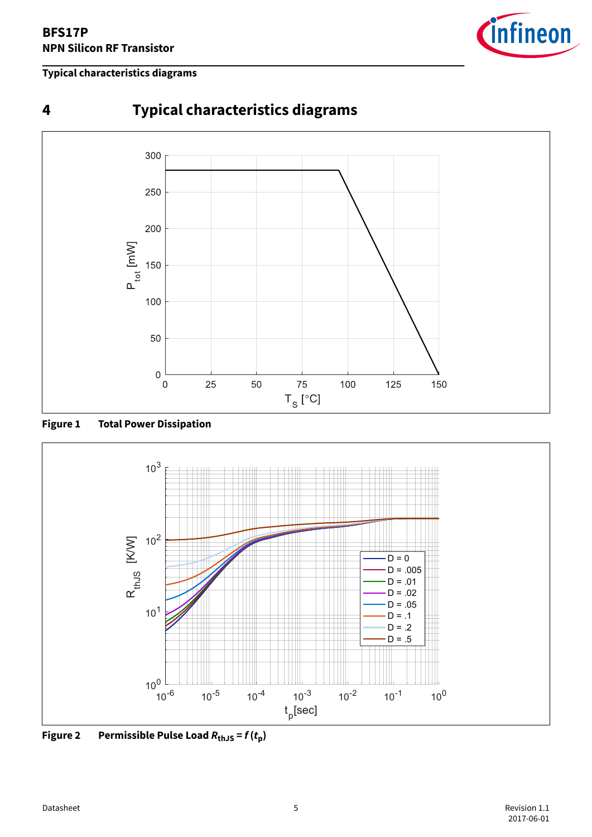#### <span id="page-4-0"></span>**Typical characteristics diagrams**



**Figure 1 Total Power Dissipation**



**Figure 2** Permissible Pulse Load  $R_{\text{thJS}} = f(t_p)$ 

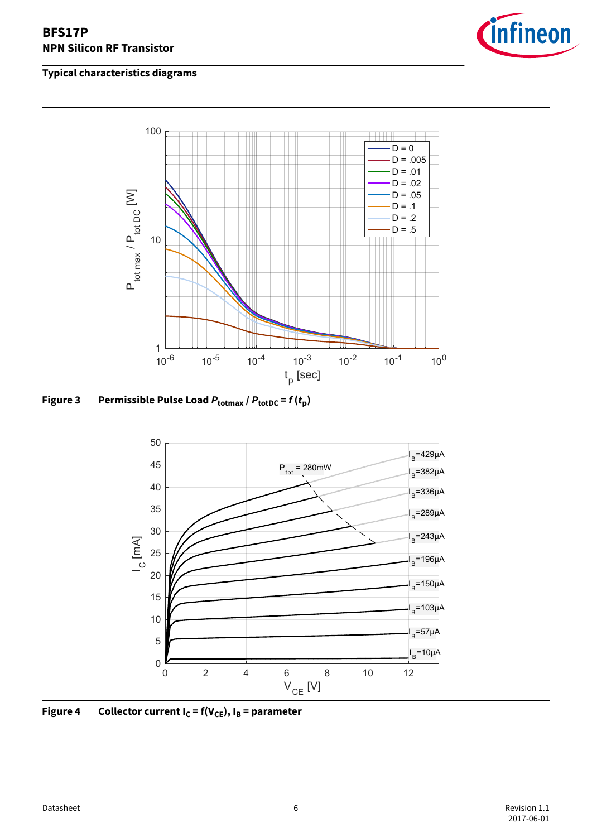



**Figure 3 Permissible Pulse Load Ptotmax / PtotDC = f (tp)**



**Figure 4** Collector current  $I_C = f(V_{CE})$ ,  $I_B =$  parameter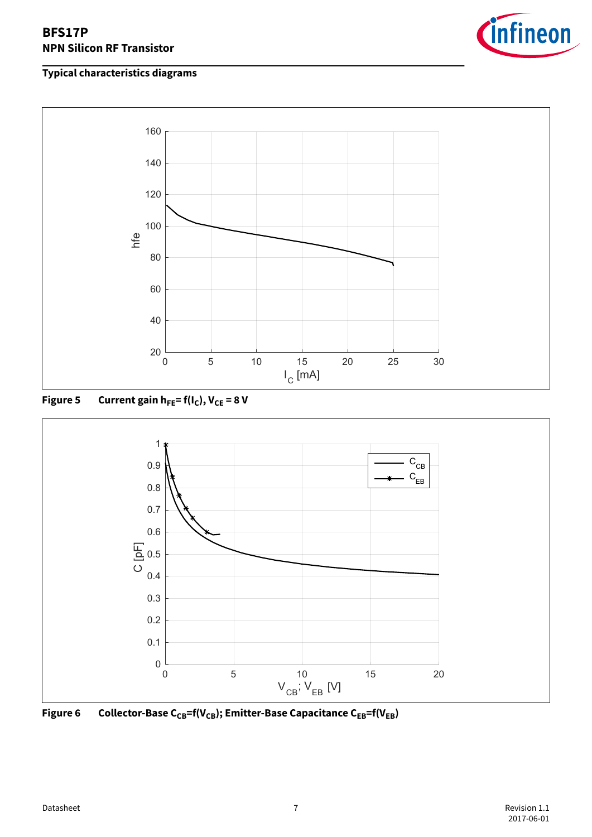







Figure 6 Collector-Base C<sub>CB</sub>=f(V<sub>CB</sub>); Emitter-Base Capacitance C<sub>EB</sub>=f(V<sub>EB</sub>)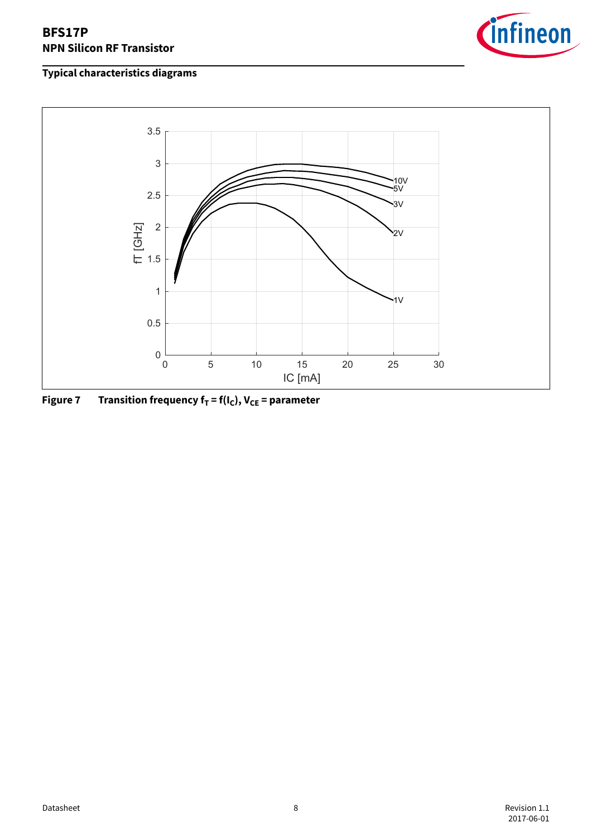



**Figure 7 Transition frequency fT = f(IC), VCE = parameter**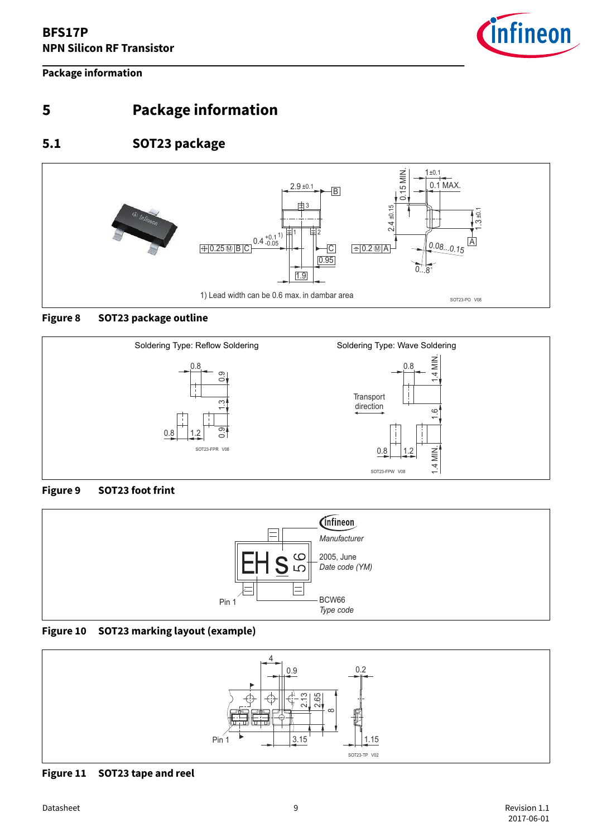

**Package information**

# **5 Package information**

## **5.1 SOT23 package**

<span id="page-8-0"></span>

#### **Figure 8 SOT23 package outline**



#### **Figure 9 SOT23 foot frint**



#### **Figure 10 SOT23 marking layout (example)**



**Figure 11 SOT23 tape and reel**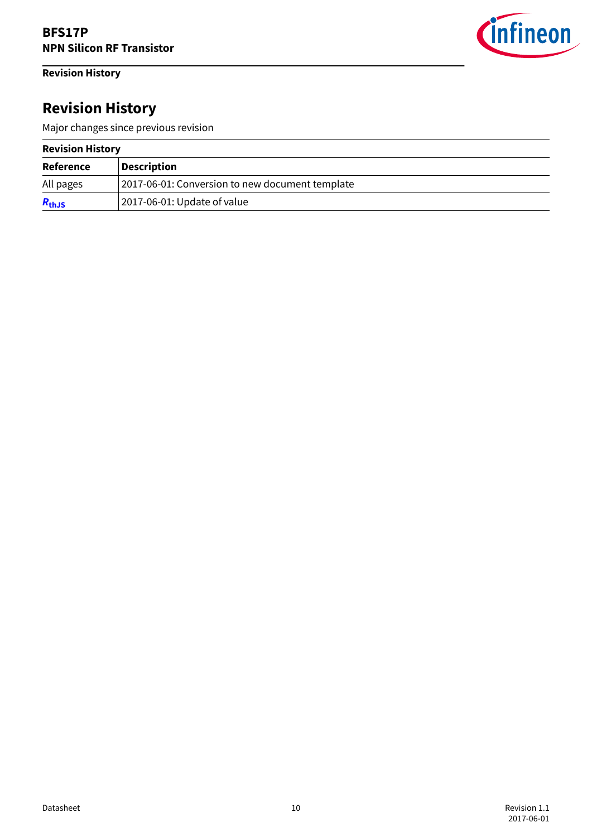### <span id="page-9-0"></span>**Revision History**



# **Revision History**

Major changes since previous revision

#### **Revision History**

| <b>Reference</b> | <b>Description</b>                              |
|------------------|-------------------------------------------------|
| All pages        | 2017-06-01: Conversion to new document template |
| $R_{th,JS}$      | 2017-06-01: Update of value                     |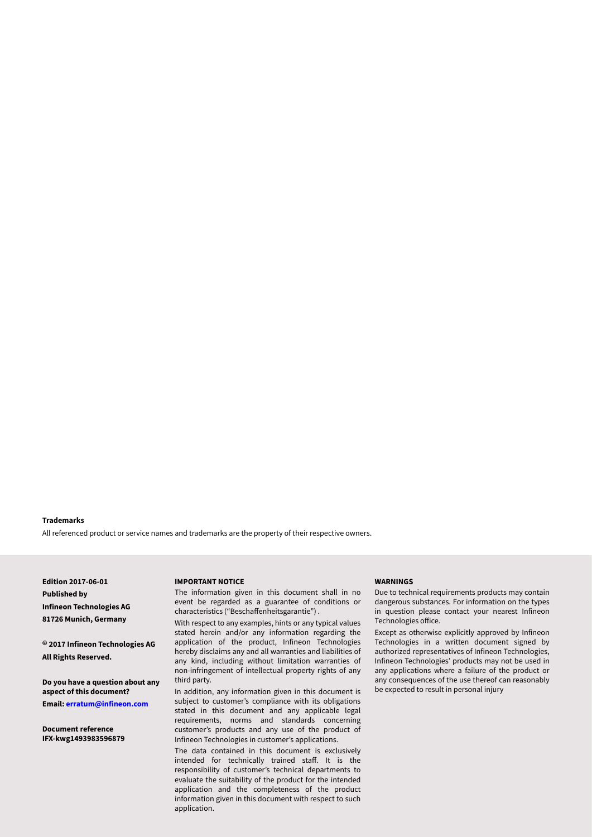#### <span id="page-10-0"></span>**Trademarks**

All referenced product or service names and trademarks are the property of their respective owners.

**Edition 2017-06-01 Published by Infineon Technologies AG 81726 Munich, Germany**

**© 2017 Infineon Technologies AG All Rights Reserved.**

**Do you have a question about any aspect of this document? Email: [erratum@infineon.com](mailto:erratum@infineon.com)**

**Document reference IFX-kwg1493983596879**

#### **IMPORTANT NOTICE**

The information given in this document shall in no event be regarded as a guarantee of conditions or characteristics ("Beschaffenheitsgarantie") .

With respect to any examples, hints or any typical values stated herein and/or any information regarding the application of the product, Infineon Technologies hereby disclaims any and all warranties and liabilities of any kind, including without limitation warranties of non-infringement of intellectual property rights of any third party.

In addition, any information given in this document is subject to customer's compliance with its obligations stated in this document and any applicable legal requirements, norms and standards concerning customer's products and any use of the product of Infineon Technologies in customer's applications.

The data contained in this document is exclusively intended for technically trained staff. It is the responsibility of customer's technical departments to evaluate the suitability of the product for the intended application and the completeness of the product information given in this document with respect to such application.

#### **WARNINGS**

Due to technical requirements products may contain dangerous substances. For information on the types in question please contact your nearest Infineon Technologies office.

Except as otherwise explicitly approved by Infineon Technologies in a written document signed by authorized representatives of Infineon Technologies, Infineon Technologies' products may not be used in any applications where a failure of the product or any consequences of the use thereof can reasonably be expected to result in personal injury